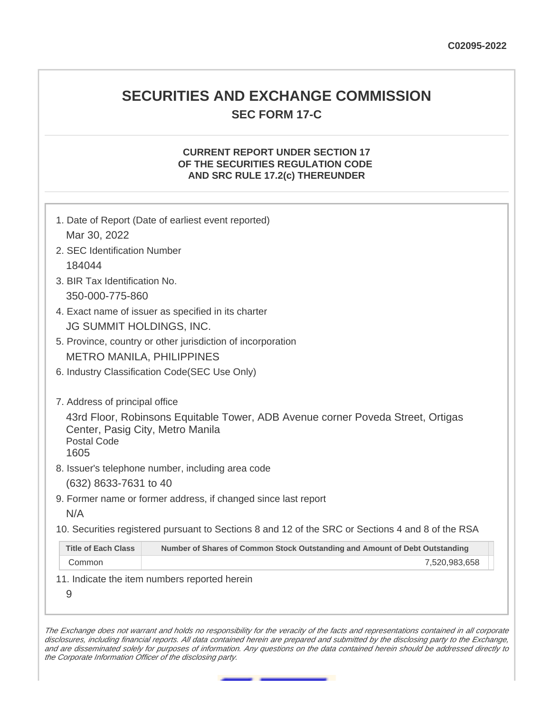# **SECURITIES AND EXCHANGE COMMISSION SEC FORM 17-C**

#### **CURRENT REPORT UNDER SECTION 17 OF THE SECURITIES REGULATION CODE AND SRC RULE 17.2(c) THEREUNDER**

|                                                                | 1. Date of Report (Date of earliest event reported)                                               |
|----------------------------------------------------------------|---------------------------------------------------------------------------------------------------|
| Mar 30, 2022                                                   |                                                                                                   |
| 2. SEC Identification Number                                   |                                                                                                   |
| 184044                                                         |                                                                                                   |
| 3. BIR Tax Identification No.                                  |                                                                                                   |
| 350-000-775-860                                                |                                                                                                   |
| 4. Exact name of issuer as specified in its charter            |                                                                                                   |
| JG SUMMIT HOLDINGS, INC.                                       |                                                                                                   |
|                                                                | 5. Province, country or other jurisdiction of incorporation                                       |
| <b>METRO MANILA, PHILIPPINES</b>                               |                                                                                                   |
|                                                                | 6. Industry Classification Code(SEC Use Only)                                                     |
| 7. Address of principal office                                 |                                                                                                   |
| Center, Pasig City, Metro Manila<br><b>Postal Code</b><br>1605 | 43rd Floor, Robinsons Equitable Tower, ADB Avenue corner Poveda Street, Ortigas                   |
|                                                                | 8. Issuer's telephone number, including area code                                                 |
| (632) 8633-7631 to 40                                          |                                                                                                   |
|                                                                | 9. Former name or former address, if changed since last report                                    |
| N/A                                                            |                                                                                                   |
|                                                                | 10. Securities registered pursuant to Sections 8 and 12 of the SRC or Sections 4 and 8 of the RSA |
| <b>Title of Each Class</b>                                     | Number of Shares of Common Stock Outstanding and Amount of Debt Outstanding                       |
| Common                                                         | 7,520,983,658                                                                                     |
|                                                                | 11. Indicate the item numbers reported herein                                                     |
| 9                                                              |                                                                                                   |

The Exchange does not warrant and holds no responsibility for the veracity of the facts and representations contained in all corporate disclosures, including financial reports. All data contained herein are prepared and submitted by the disclosing party to the Exchange, and are disseminated solely for purposes of information. Any questions on the data contained herein should be addressed directly to the Corporate Information Officer of the disclosing party.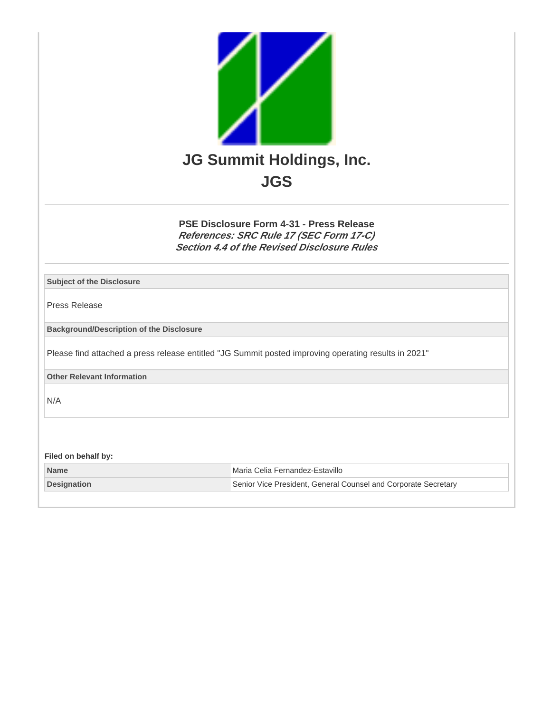

**PSE Disclosure Form 4-31 - Press Release References: SRC Rule 17 (SEC Form 17-C) Section 4.4 of the Revised Disclosure Rules**

| <b>Subject of the Disclosure</b>                |                                                                                                      |  |
|-------------------------------------------------|------------------------------------------------------------------------------------------------------|--|
| Press Release                                   |                                                                                                      |  |
| <b>Background/Description of the Disclosure</b> |                                                                                                      |  |
|                                                 | Please find attached a press release entitled "JG Summit posted improving operating results in 2021" |  |
| <b>Other Relevant Information</b>               |                                                                                                      |  |
| N/A                                             |                                                                                                      |  |
| Filed on behalf by:                             |                                                                                                      |  |
| <b>Name</b>                                     | Maria Celia Fernandez-Estavillo                                                                      |  |
| <b>Designation</b>                              | Senior Vice President, General Counsel and Corporate Secretary                                       |  |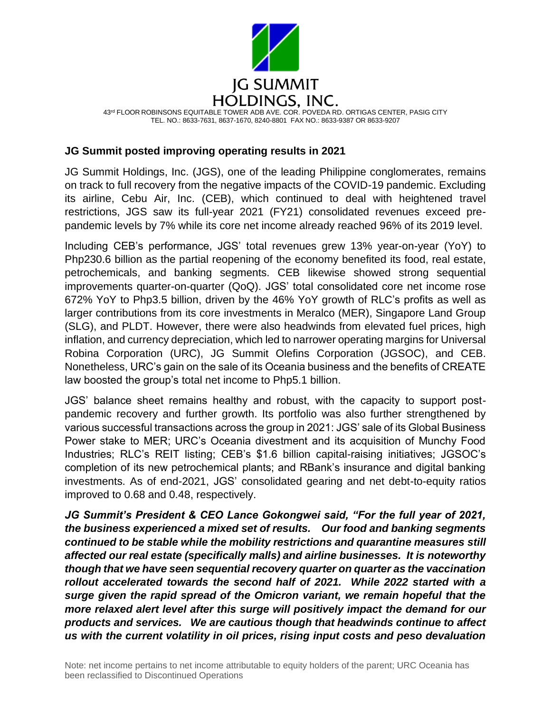

### **JG Summit posted improving operating results in 2021**

JG Summit Holdings, Inc. (JGS), one of the leading Philippine conglomerates, remains on track to full recovery from the negative impacts of the COVID-19 pandemic. Excluding its airline, Cebu Air, Inc. (CEB), which continued to deal with heightened travel restrictions, JGS saw its full-year 2021 (FY21) consolidated revenues exceed prepandemic levels by 7% while its core net income already reached 96% of its 2019 level.

Including CEB's performance, JGS' total revenues grew 13% year-on-year (YoY) to Php230.6 billion as the partial reopening of the economy benefited its food, real estate, petrochemicals, and banking segments. CEB likewise showed strong sequential improvements quarter-on-quarter (QoQ). JGS' total consolidated core net income rose 672% YoY to Php3.5 billion, driven by the 46% YoY growth of RLC's profits as well as larger contributions from its core investments in Meralco (MER), Singapore Land Group (SLG), and PLDT. However, there were also headwinds from elevated fuel prices, high inflation, and currency depreciation, which led to narrower operating margins for Universal Robina Corporation (URC), JG Summit Olefins Corporation (JGSOC), and CEB. Nonetheless, URC's gain on the sale of its Oceania business and the benefits of CREATE law boosted the group's total net income to Php5.1 billion.

JGS' balance sheet remains healthy and robust, with the capacity to support postpandemic recovery and further growth. Its portfolio was also further strengthened by various successful transactions across the group in 2021: JGS' sale of its Global Business Power stake to MER; URC's Oceania divestment and its acquisition of Munchy Food Industries; RLC's REIT listing; CEB's \$1.6 billion capital-raising initiatives; JGSOC's completion of its new petrochemical plants; and RBank's insurance and digital banking investments. As of end-2021, JGS' consolidated gearing and net debt-to-equity ratios improved to 0.68 and 0.48, respectively.

*JG Summit's President & CEO Lance Gokongwei said, "For the full year of 2021, the business experienced a mixed set of results. Our food and banking segments continued to be stable while the mobility restrictions and quarantine measures still affected our real estate (specifically malls) and airline businesses. It is noteworthy though that we have seen sequential recovery quarter on quarter as the vaccination rollout accelerated towards the second half of 2021. While 2022 started with a surge given the rapid spread of the Omicron variant, we remain hopeful that the more relaxed alert level after this surge will positively impact the demand for our products and services. We are cautious though that headwinds continue to affect us with the current volatility in oil prices, rising input costs and peso devaluation*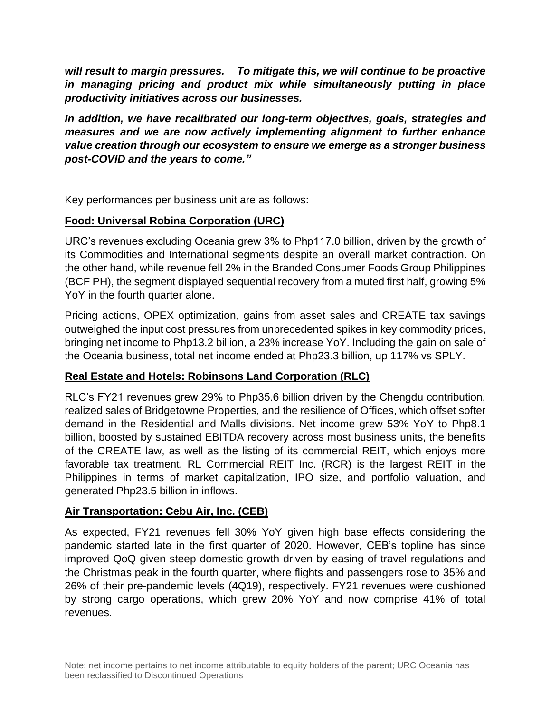*will result to margin pressures. To mitigate this, we will continue to be proactive in managing pricing and product mix while simultaneously putting in place productivity initiatives across our businesses.*

*In addition, we have recalibrated our long-term objectives, goals, strategies and measures and we are now actively implementing alignment to further enhance value creation through our ecosystem to ensure we emerge as a stronger business post-COVID and the years to come."*

Key performances per business unit are as follows:

# **Food: Universal Robina Corporation (URC)**

URC's revenues excluding Oceania grew 3% to Php117.0 billion, driven by the growth of its Commodities and International segments despite an overall market contraction. On the other hand, while revenue fell 2% in the Branded Consumer Foods Group Philippines (BCF PH), the segment displayed sequential recovery from a muted first half, growing 5% YoY in the fourth quarter alone.

Pricing actions, OPEX optimization, gains from asset sales and CREATE tax savings outweighed the input cost pressures from unprecedented spikes in key commodity prices, bringing net income to Php13.2 billion, a 23% increase YoY. Including the gain on sale of the Oceania business, total net income ended at Php23.3 billion, up 117% vs SPLY.

# **Real Estate and Hotels: Robinsons Land Corporation (RLC)**

RLC's FY21 revenues grew 29% to Php35.6 billion driven by the Chengdu contribution, realized sales of Bridgetowne Properties, and the resilience of Offices, which offset softer demand in the Residential and Malls divisions. Net income grew 53% YoY to Php8.1 billion, boosted by sustained EBITDA recovery across most business units, the benefits of the CREATE law, as well as the listing of its commercial REIT, which enjoys more favorable tax treatment. RL Commercial REIT Inc. (RCR) is the largest REIT in the Philippines in terms of market capitalization, IPO size, and portfolio valuation, and generated Php23.5 billion in inflows.

# **Air Transportation: Cebu Air, Inc. (CEB)**

As expected, FY21 revenues fell 30% YoY given high base effects considering the pandemic started late in the first quarter of 2020. However, CEB's topline has since improved QoQ given steep domestic growth driven by easing of travel regulations and the Christmas peak in the fourth quarter, where flights and passengers rose to 35% and 26% of their pre-pandemic levels (4Q19), respectively. FY21 revenues were cushioned by strong cargo operations, which grew 20% YoY and now comprise 41% of total revenues.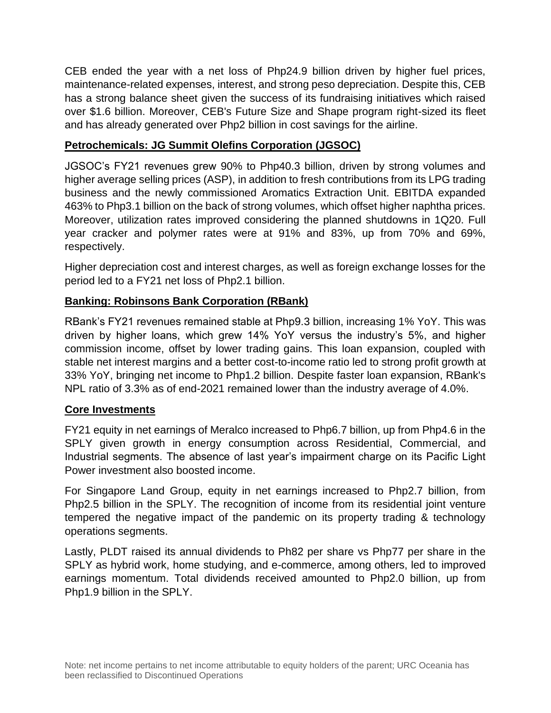CEB ended the year with a net loss of Php24.9 billion driven by higher fuel prices, maintenance-related expenses, interest, and strong peso depreciation. Despite this, CEB has a strong balance sheet given the success of its fundraising initiatives which raised over \$1.6 billion. Moreover, CEB's Future Size and Shape program right-sized its fleet and has already generated over Php2 billion in cost savings for the airline.

# **Petrochemicals: JG Summit Olefins Corporation (JGSOC)**

JGSOC's FY21 revenues grew 90% to Php40.3 billion, driven by strong volumes and higher average selling prices (ASP), in addition to fresh contributions from its LPG trading business and the newly commissioned Aromatics Extraction Unit. EBITDA expanded 463% to Php3.1 billion on the back of strong volumes, which offset higher naphtha prices. Moreover, utilization rates improved considering the planned shutdowns in 1Q20. Full year cracker and polymer rates were at 91% and 83%, up from 70% and 69%, respectively.

Higher depreciation cost and interest charges, as well as foreign exchange losses for the period led to a FY21 net loss of Php2.1 billion.

# **Banking: Robinsons Bank Corporation (RBank)**

RBank's FY21 revenues remained stable at Php9.3 billion, increasing 1% YoY. This was driven by higher loans, which grew 14% YoY versus the industry's 5%, and higher commission income, offset by lower trading gains. This loan expansion, coupled with stable net interest margins and a better cost-to-income ratio led to strong profit growth at 33% YoY, bringing net income to Php1.2 billion. Despite faster loan expansion, RBank's NPL ratio of 3.3% as of end-2021 remained lower than the industry average of 4.0%.

# **Core Investments**

FY21 equity in net earnings of Meralco increased to Php6.7 billion, up from Php4.6 in the SPLY given growth in energy consumption across Residential, Commercial, and Industrial segments. The absence of last year's impairment charge on its Pacific Light Power investment also boosted income.

For Singapore Land Group, equity in net earnings increased to Php2.7 billion, from Php2.5 billion in the SPLY. The recognition of income from its residential joint venture tempered the negative impact of the pandemic on its property trading & technology operations segments.

Lastly, PLDT raised its annual dividends to Ph82 per share vs Php77 per share in the SPLY as hybrid work, home studying, and e-commerce, among others, led to improved earnings momentum. Total dividends received amounted to Php2.0 billion, up from Php1.9 billion in the SPLY.